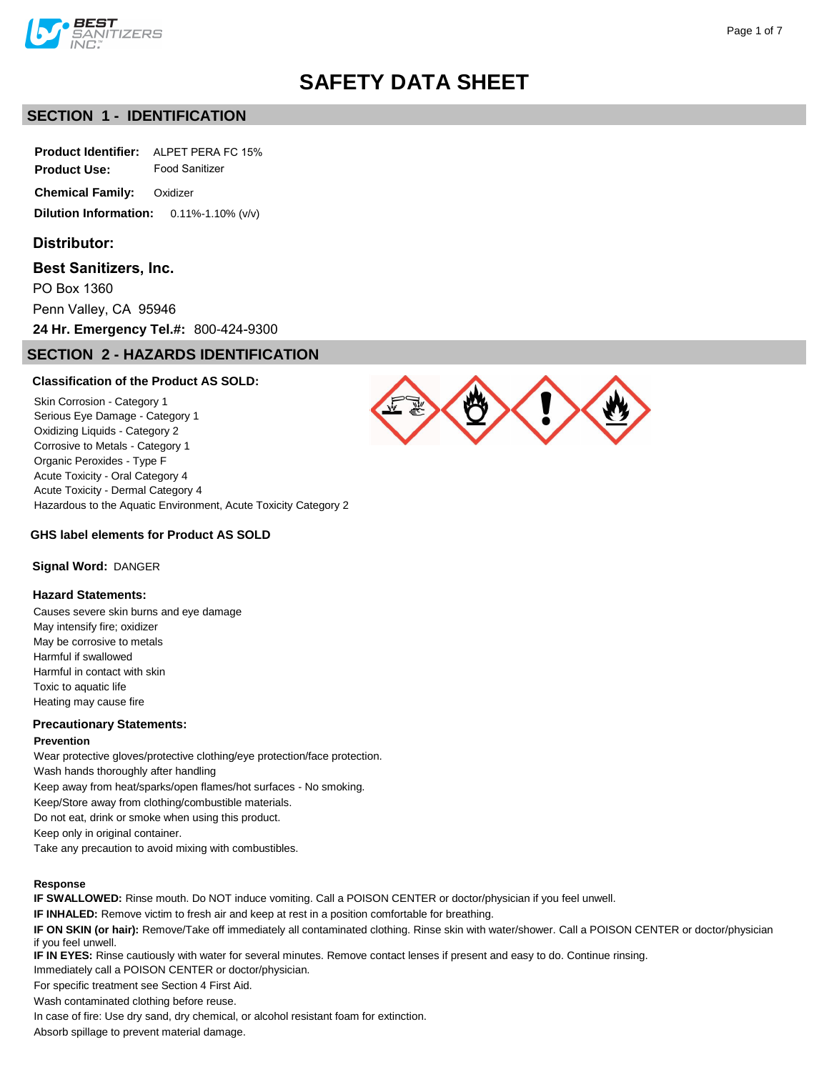

# **SECTION 1 - IDENTIFICATION**

**Product Identifier:** ALPET PERA FC 15%

**Product Use:** Food Sanitizer

**Chemical Family:** Oxidizer

**Dilution Information:** 0.11%-1.10% (v/v)

# **Distributor:**

### **Best Sanitizers, Inc.**

PO Box 1360

Penn Valley, CA 95946

**24 Hr. Emergency Tel.#:** 800-424-9300

# **SECTION 2 - HAZARDS IDENTIFICATION**

## **Classification of the Product AS SOLD:**

Skin Corrosion - Category 1 Serious Eye Damage - Category 1 Oxidizing Liquids - Category 2 Corrosive to Metals - Category 1 Organic Peroxides - Type F Acute Toxicity - Oral Category 4 Acute Toxicity - Dermal Category 4 Hazardous to the Aquatic Environment, Acute Toxicity Category 2

# **GHS label elements for Product AS SOLD**

## **Signal Word:** DANGER

## **Hazard Statements:**

Causes severe skin burns and eye damage May intensify fire; oxidizer May be corrosive to metals Harmful if swallowed Harmful in contact with skin Toxic to aquatic life Heating may cause fire

#### **Precautionary Statements:**

#### **Prevention**

Wear protective gloves/protective clothing/eye protection/face protection.

Wash hands thoroughly after handling Keep away from heat/sparks/open flames/hot surfaces - No smoking.

Keep/Store away from clothing/combustible materials.

Do not eat, drink or smoke when using this product.

Keep only in original container.

Take any precaution to avoid mixing with combustibles.

#### **Response**

**IF SWALLOWED:** Rinse mouth. Do NOT induce vomiting. Call a POISON CENTER or doctor/physician if you feel unwell.

**IF INHALED:** Remove victim to fresh air and keep at rest in a position comfortable for breathing.

**IF ON SKIN (or hair):** Remove/Take off immediately all contaminated clothing. Rinse skin with water/shower. Call a POISON CENTER or doctor/physician if you feel unwell.

**IF IN EYES:** Rinse cautiously with water for several minutes. Remove contact lenses if present and easy to do. Continue rinsing.

Immediately call a POISON CENTER or doctor/physician.

For specific treatment see Section 4 First Aid.

Wash contaminated clothing before reuse.

In case of fire: Use dry sand, dry chemical, or alcohol resistant foam for extinction.

Absorb spillage to prevent material damage.

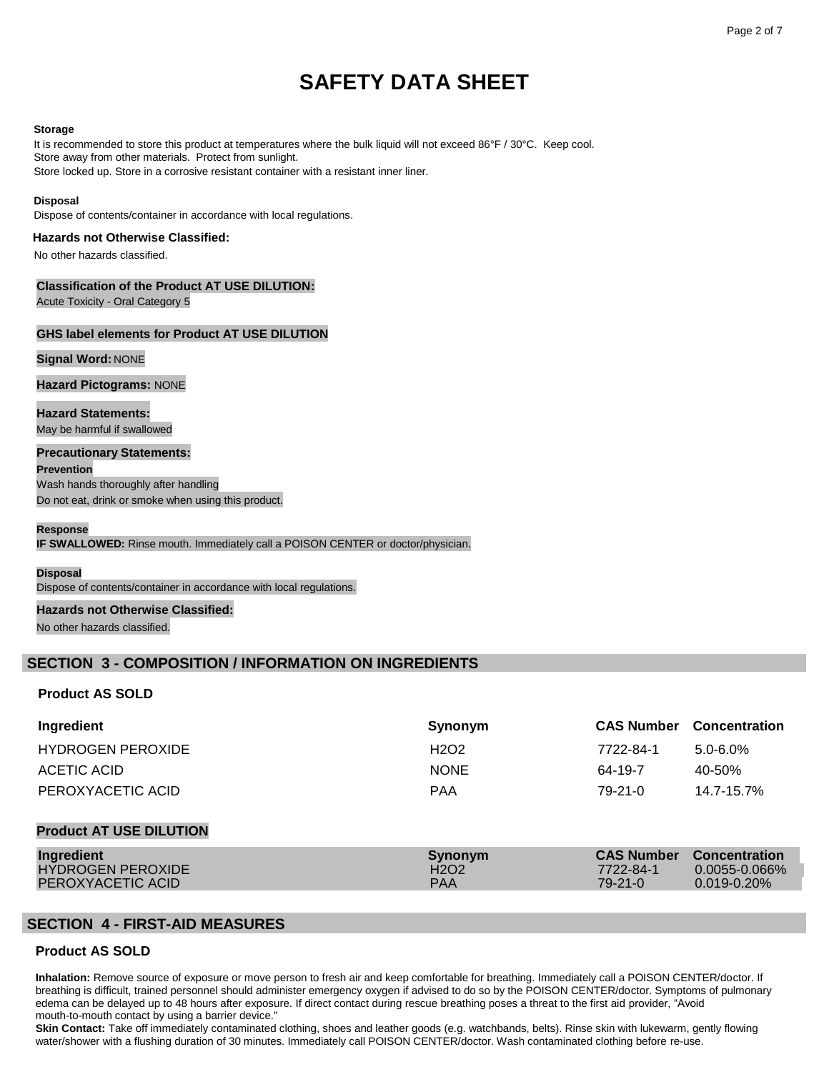#### **Storage**

It is recommended to store this product at temperatures where the bulk liquid will not exceed 86°F / 30°C. Keep cool. Store away from other materials. Protect from sunlight. Store locked up. Store in a corrosive resistant container with a resistant inner liner.

#### **Disposal**

Dispose of contents/container in accordance with local regulations.

#### **Hazards not Otherwise Classified:**

No other hazards classified.

## **Classification of the Product AT USE DILUTION:**

Acute Toxicity - Oral Category 5

## **GHS label elements for Product AT USE DILUTION**

## **Signal Word:** NONE

**Hazard Pictograms:** NONE

**Hazard Statements:** May be harmful if swallowed

#### **Precautionary Statements:**

**Prevention** Wash hands thoroughly after handling

Do not eat, drink or smoke when using this product.

#### **Response**

**IF SWALLOWED:** Rinse mouth. Immediately call a POISON CENTER or doctor/physician.

#### **Disposal**

Dispose of contents/container in accordance with local regulations.

#### **Hazards not Otherwise Classified:**

No other hazards classified.

# **SECTION 3 - COMPOSITION / INFORMATION ON INGREDIENTS**

## **Product AS SOLD**

| Ingredient                     | Synonym                       | <b>CAS Number</b> | <b>Concentration</b> |
|--------------------------------|-------------------------------|-------------------|----------------------|
| <b>HYDROGEN PEROXIDE</b>       | H <sub>2</sub> O <sub>2</sub> | 7722-84-1         | $5.0 - 6.0\%$        |
| ACETIC ACID                    | <b>NONE</b>                   | 64-19-7           | 40-50%               |
| PEROXYACETIC ACID              | <b>PAA</b>                    | $79-21-0$         | 14.7-15.7%           |
|                                |                               |                   |                      |
| <b>Product AT USE DILUTION</b> |                               |                   |                      |

| <b>Ingredient</b> | Synonym                       |           | <b>CAS Number</b> Concentration |
|-------------------|-------------------------------|-----------|---------------------------------|
| HYDROGEN PEROXIDE | H <sub>2</sub> O <sub>2</sub> | 7722-84-1 | $0.0055 - 0.066\%$              |
| PEROXYACETIC ACID | <b>PAA</b>                    | 79-21-0   | $0.019 - 0.20\%$                |

# **SECTION 4 - FIRST-AID MEASURES**

# **Product AS SOLD**

**Inhalation:** Remove source of exposure or move person to fresh air and keep comfortable for breathing. Immediately call a POISON CENTER/doctor. If breathing is difficult, trained personnel should administer emergency oxygen if advised to do so by the POISON CENTER/doctor. Symptoms of pulmonary edema can be delayed up to 48 hours after exposure. If direct contact during rescue breathing poses a threat to the first aid provider, "Avoid mouth-to-mouth contact by using a barrier device."

**Skin Contact:** Take off immediately contaminated clothing, shoes and leather goods (e.g. watchbands, belts). Rinse skin with lukewarm, gently flowing water/shower with a flushing duration of 30 minutes. Immediately call POISON CENTER/doctor. Wash contaminated clothing before re-use.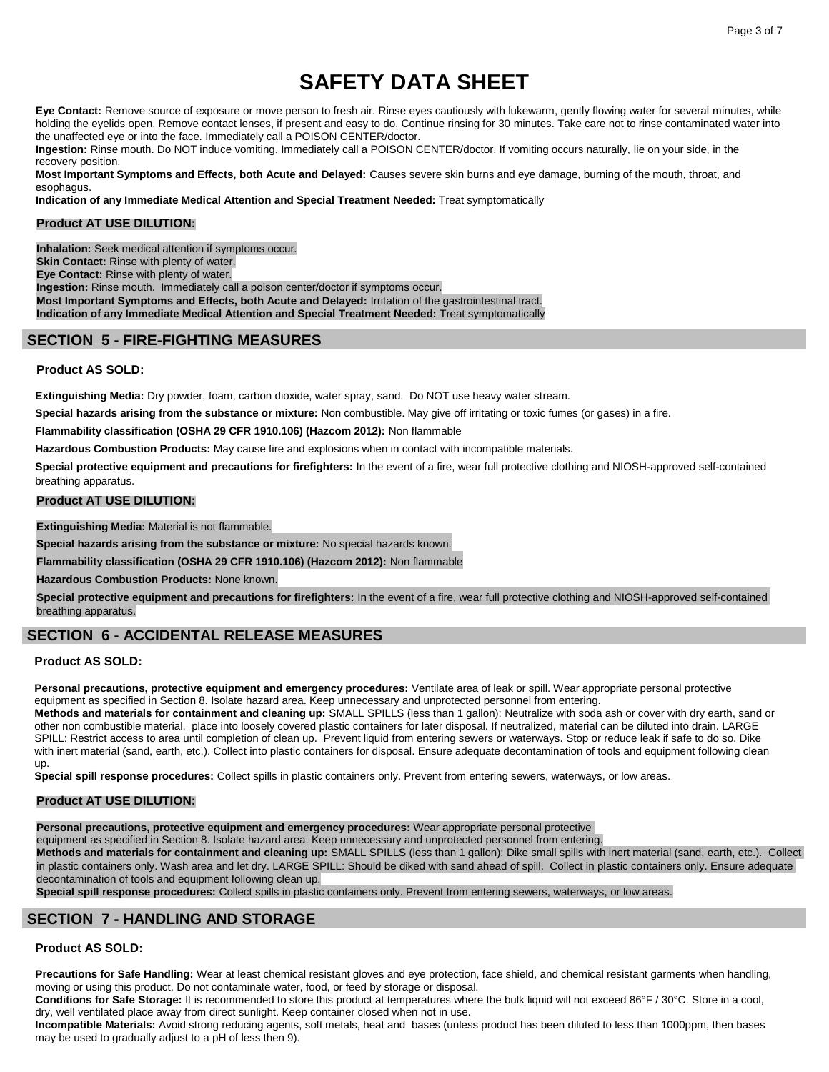Eye Contact: Remove source of exposure or move person to fresh air. Rinse eyes cautiously with lukewarm, gently flowing water for several minutes, while holding the eyelids open. Remove contact lenses, if present and easy to do. Continue rinsing for 30 minutes. Take care not to rinse contaminated water into the unaffected eye or into the face. Immediately call a POISON CENTER/doctor.

**Ingestion:** Rinse mouth. Do NOT induce vomiting. Immediately call a POISON CENTER/doctor. If vomiting occurs naturally, lie on your side, in the recovery position.

**Most Important Symptoms and Effects, both Acute and Delayed:** Causes severe skin burns and eye damage, burning of the mouth, throat, and esophagus.

**Indication of any Immediate Medical Attention and Special Treatment Needed:** Treat symptomatically

## **Product AT USE DILUTION:**

**Inhalation:** Seek medical attention if symptoms occur. **Skin Contact:** Rinse with plenty of water. **Eye Contact:** Rinse with plenty of water. **Ingestion:** Rinse mouth. Immediately call a poison center/doctor if symptoms occur. **Most Important Symptoms and Effects, both Acute and Delayed:** Irritation of the gastrointestinal tract. **Indication of any Immediate Medical Attention and Special Treatment Needed:** Treat symptomatically

# **SECTION 5 - FIRE-FIGHTING MEASURES**

### **Product AS SOLD:**

**Extinguishing Media:** Dry powder, foam, carbon dioxide, water spray, sand. Do NOT use heavy water stream.

**Special hazards arising from the substance or mixture:** Non combustible. May give off irritating or toxic fumes (or gases) in a fire.

**Flammability classification (OSHA 29 CFR 1910.106) (Hazcom 2012):** Non flammable

**Hazardous Combustion Products:** May cause fire and explosions when in contact with incompatible materials.

**Special protective equipment and precautions for firefighters:** In the event of a fire, wear full protective clothing and NIOSH-approved self-contained breathing apparatus.

#### **Product AT USE DILUTION:**

**Extinguishing Media:** Material is not flammable.

**Special hazards arising from the substance or mixture:** No special hazards known.

**Flammability classification (OSHA 29 CFR 1910.106) (Hazcom 2012):** Non flammable

**Hazardous Combustion Products:** None known.

**Special protective equipment and precautions for firefighters:** In the event of a fire, wear full protective clothing and NIOSH-approved self-contained breathing apparatus.

# **SECTION 6 - ACCIDENTAL RELEASE MEASURES**

#### **Product AS SOLD:**

**Personal precautions, protective equipment and emergency procedures:** Ventilate area of leak or spill. Wear appropriate personal protective equipment as specified in Section 8. Isolate hazard area. Keep unnecessary and unprotected personnel from entering.

**Methods and materials for containment and cleaning up:** SMALL SPILLS (less than 1 gallon): Neutralize with soda ash or cover with dry earth, sand or other non combustible material, place into loosely covered plastic containers for later disposal. If neutralized, material can be diluted into drain. LARGE SPILL: Restrict access to area until completion of clean up. Prevent liquid from entering sewers or waterways. Stop or reduce leak if safe to do so. Dike with inert material (sand, earth, etc.). Collect into plastic containers for disposal. Ensure adequate decontamination of tools and equipment following clean up.

**Special spill response procedures:** Collect spills in plastic containers only. Prevent from entering sewers, waterways, or low areas.

## **Product AT USE DILUTION:**

**Personal precautions, protective equipment and emergency procedures:** Wear appropriate personal protective

equipment as specified in Section 8. Isolate hazard area. Keep unnecessary and unprotected personnel from entering.

**Methods and materials for containment and cleaning up:** SMALL SPILLS (less than 1 gallon): Dike small spills with inert material (sand, earth, etc.). Collect in plastic containers only. Wash area and let dry. LARGE SPILL: Should be diked with sand ahead of spill. Collect in plastic containers only. Ensure adequate decontamination of tools and equipment following clean up.

**Special spill response procedures:** Collect spills in plastic containers only. Prevent from entering sewers, waterways, or low areas.

# **SECTION 7 - HANDLING AND STORAGE**

## **Product AS SOLD:**

**Precautions for Safe Handling:** Wear at least chemical resistant gloves and eye protection, face shield, and chemical resistant garments when handling, moving or using this product. Do not contaminate water, food, or feed by storage or disposal.

**Conditions for Safe Storage:** It is recommended to store this product at temperatures where the bulk liquid will not exceed 86°F / 30°C. Store in a cool, dry, well ventilated place away from direct sunlight. Keep container closed when not in use.

**Incompatible Materials:** Avoid strong reducing agents, soft metals, heat and bases (unless product has been diluted to less than 1000ppm, then bases may be used to gradually adjust to a pH of less then 9).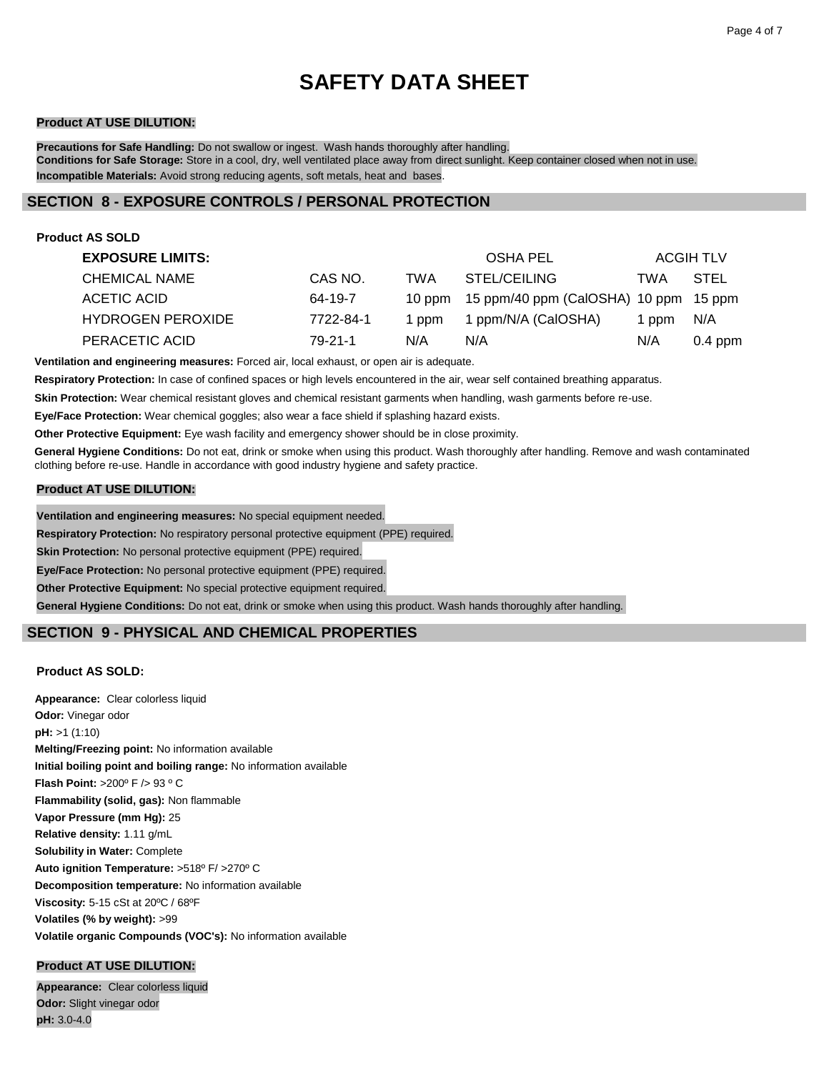## **Product AT USE DILUTION:**

**Precautions for Safe Handling:** Do not swallow or ingest. Wash hands thoroughly after handling. **Conditions for Safe Storage:** Store in a cool, dry, well ventilated place away from direct sunlight. Keep container closed when not in use. **Incompatible Materials:** Avoid strong reducing agents, soft metals, heat and bases.

# **SECTION 8 - EXPOSURE CONTROLS / PERSONAL PROTECTION**

| <b>Product AS SOLD</b>   |           |        |                                       |     |                  |
|--------------------------|-----------|--------|---------------------------------------|-----|------------------|
| <b>EXPOSURE LIMITS:</b>  |           |        | OSHA PEL                              |     | <b>ACGIH TLV</b> |
| <b>CHEMICAL NAME</b>     | CAS NO.   | TWA    | STEL/CEILING                          | TWA | <b>STEL</b>      |
| ACETIC ACID              | 64-19-7   | 10 ppm | 15 ppm/40 ppm (CalOSHA) 10 ppm 15 ppm |     |                  |
| <b>HYDROGEN PEROXIDE</b> | 7722-84-1 | 1 ppm  | 1 ppm/N/A (CalOSHA)                   | ppm | N/A              |
| PERACETIC ACID           | 79-21-1   | N/A    | N/A                                   | N/A | $0.4$ ppm        |

**Ventilation and engineering measures:** Forced air, local exhaust, or open air is adequate.

**Respiratory Protection:** In case of confined spaces or high levels encountered in the air, wear self contained breathing apparatus.

**Skin Protection:** Wear chemical resistant gloves and chemical resistant garments when handling, wash garments before re-use.

**Eye/Face Protection:** Wear chemical goggles; also wear a face shield if splashing hazard exists.

**Other Protective Equipment:** Eye wash facility and emergency shower should be in close proximity.

**General Hygiene Conditions:** Do not eat, drink or smoke when using this product. Wash thoroughly after handling. Remove and wash contaminated clothing before re-use. Handle in accordance with good industry hygiene and safety practice.

### **Product AT USE DILUTION:**

**Ventilation and engineering measures:** No special equipment needed.

**Respiratory Protection:** No respiratory personal protective equipment (PPE) required.

**Skin Protection:** No personal protective equipment (PPE) required.

**Eye/Face Protection:** No personal protective equipment (PPE) required.

**Other Protective Equipment:** No special protective equipment required.

**General Hygiene Conditions:** Do not eat, drink or smoke when using this product. Wash hands thoroughly after handling.

# **SECTION 9 - PHYSICAL AND CHEMICAL PROPERTIES**

## **Product AS SOLD:**

**Appearance:** Clear colorless liquid **Odor:** Vinegar odor **pH:** >1 (1:10) **Melting/Freezing point:** No information available **Initial boiling point and boiling range:** No information available **Flash Point:** >200º F /> 93 º C **Flammability (solid, gas):** Non flammable **Vapor Pressure (mm Hg):** 25 **Relative density:** 1.11 g/mL **Solubility in Water:** Complete **Auto ignition Temperature:** >518º F/ >270º C **Decomposition temperature:** No information available **Viscosity:** 5-15 cSt at 20ºC / 68ºF **Volatiles (% by weight):** >99 **Volatile organic Compounds (VOC's):** No information available

# **Product AT USE DILUTION:**

**Appearance:** Clear colorless liquid **Odor:** Slight vinegar odor **pH:** 3.0-4.0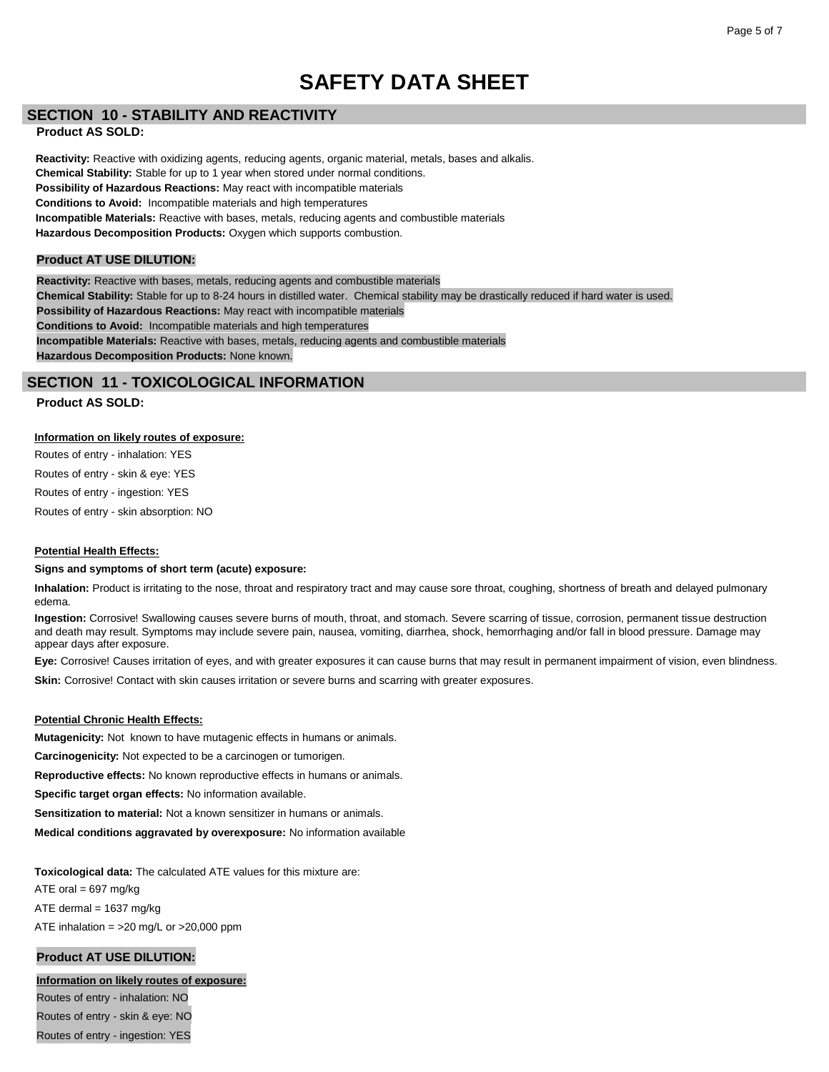# **SECTION 10 - STABILITY AND REACTIVITY**

### **Product AS SOLD:**

**Reactivity:** Reactive with oxidizing agents, reducing agents, organic material, metals, bases and alkalis. **Chemical Stability:** Stable for up to 1 year when stored under normal conditions. **Possibility of Hazardous Reactions:** May react with incompatible materials **Conditions to Avoid:** Incompatible materials and high temperatures **Incompatible Materials:** Reactive with bases, metals, reducing agents and combustible materials **Hazardous Decomposition Products:** Oxygen which supports combustion.

## **Product AT USE DILUTION:**

**Reactivity:** Reactive with bases, metals, reducing agents and combustible materials **Chemical Stability:** Stable for up to 8-24 hours in distilled water. Chemical stability may be drastically reduced if hard water is used. **Possibility of Hazardous Reactions:** May react with incompatible materials **Conditions to Avoid:** Incompatible materials and high temperatures **Incompatible Materials:** Reactive with bases, metals, reducing agents and combustible materials **Hazardous Decomposition Products:** None known.

# **SECTION 11 - TOXICOLOGICAL INFORMATION**

## **Product AS SOLD:**

### **Information on likely routes of exposure:**

Routes of entry - inhalation: YES Routes of entry - skin & eye: YES Routes of entry - ingestion: YES Routes of entry - skin absorption: NO

#### **Potential Health Effects:**

#### **Signs and symptoms of short term (acute) exposure:**

**Inhalation:** Product is irritating to the nose, throat and respiratory tract and may cause sore throat, coughing, shortness of breath and delayed pulmonary edema.

**Ingestion:** Corrosive! Swallowing causes severe burns of mouth, throat, and stomach. Severe scarring of tissue, corrosion, permanent tissue destruction and death may result. Symptoms may include severe pain, nausea, vomiting, diarrhea, shock, hemorrhaging and/or fall in blood pressure. Damage may appear days after exposure.

**Eye:** Corrosive! Causes irritation of eyes, and with greater exposures it can cause burns that may result in permanent impairment of vision, even blindness.

**Skin:** Corrosive! Contact with skin causes irritation or severe burns and scarring with greater exposures.

#### **Potential Chronic Health Effects:**

**Mutagenicity:** Not known to have mutagenic effects in humans or animals.

**Carcinogenicity:** Not expected to be a carcinogen or tumorigen.

**Reproductive effects:** No known reproductive effects in humans or animals.

**Specific target organ effects:** No information available.

**Sensitization to material:** Not a known sensitizer in humans or animals.

**Medical conditions aggravated by overexposure:** No information available

**Toxicological data:** The calculated ATE values for this mixture are: ATE oral  $= 697$  mg/kg ATE dermal  $= 1637$  mg/kg ATE inhalation =  $>20$  mg/L or  $>20,000$  ppm

# **Product AT USE DILUTION:**

# **Information on likely routes of exposure:**

Routes of entry - inhalation: NO Routes of entry - skin & eye: NO Routes of entry - ingestion: YES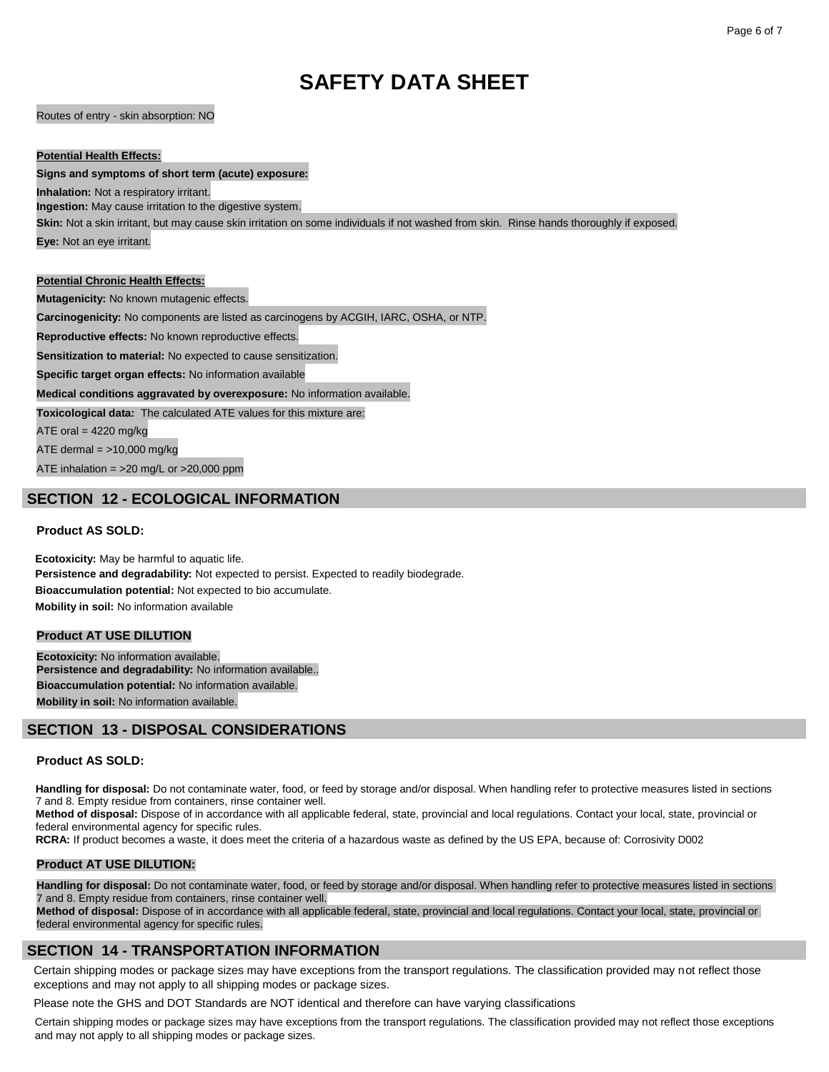Routes of entry - skin absorption: NO

#### **Potential Health Effects:**

#### **Signs and symptoms of short term (acute) exposure:**

**Inhalation:** Not a respiratory irritant.

**Ingestion:** May cause irritation to the digestive system.

**Skin:** Not a skin irritant, but may cause skin irritation on some individuals if not washed from skin. Rinse hands thoroughly if exposed.

**Eye:** Not an eye irritant.

### **Potential Chronic Health Effects:**

**Mutagenicity:** No known mutagenic effects.

**Carcinogenicity:** No components are listed as carcinogens by ACGIH, IARC, OSHA, or NTP.

**Reproductive effects:** No known reproductive effects.

**Sensitization to material:** No expected to cause sensitization.

**Specific target organ effects:** No information available

**Medical conditions aggravated by overexposure:** No information available.

**Toxicological data:** The calculated ATE values for this mixture are:

ATE oral =  $4220$  mg/kg

ATE dermal  $=$  >10,000 mg/kg

ATE inhalation =  $>20$  mg/L or  $>20,000$  ppm

# **SECTION 12 - ECOLOGICAL INFORMATION**

# **Product AS SOLD:**

**Ecotoxicity:** May be harmful to aquatic life. **Persistence and degradability:** Not expected to persist. Expected to readily biodegrade. **Bioaccumulation potential:** Not expected to bio accumulate. **Mobility in soil:** No information available

# **Product AT USE DILUTION**

**Ecotoxicity:** No information available. **Persistence and degradability:** No information available.. **Bioaccumulation potential:** No information available. **Mobility in soil:** No information available.

# **SECTION 13 - DISPOSAL CONSIDERATIONS**

## **Product AS SOLD:**

Handling for disposal: Do not contaminate water, food, or feed by storage and/or disposal. When handling refer to protective measures listed in sections 7 and 8. Empty residue from containers, rinse container well.

**Method of disposal:** Dispose of in accordance with all applicable federal, state, provincial and local regulations. Contact your local, state, provincial or federal environmental agency for specific rules.

**RCRA:** If product becomes a waste, it does meet the criteria of a hazardous waste as defined by the US EPA, because of: Corrosivity D002

#### **Product AT USE DILUTION:**

**Handling for disposal:** Do not contaminate water, food, or feed by storage and/or disposal. When handling refer to protective measures listed in sections 7 and 8. Empty residue from containers, rinse container well.

**Method of disposal:** Dispose of in accordance with all applicable federal, state, provincial and local regulations. Contact your local, state, provincial or federal environmental agency for specific rules.

# **SECTION 14 - TRANSPORTATION INFORMATION**

Certain shipping modes or package sizes may have exceptions from the transport regulations. The classification provided may not reflect those exceptions and may not apply to all shipping modes or package sizes.

Please note the GHS and DOT Standards are NOT identical and therefore can have varying classifications

Certain shipping modes or package sizes may have exceptions from the transport regulations. The classification provided may not reflect those exceptions and may not apply to all shipping modes or package sizes.